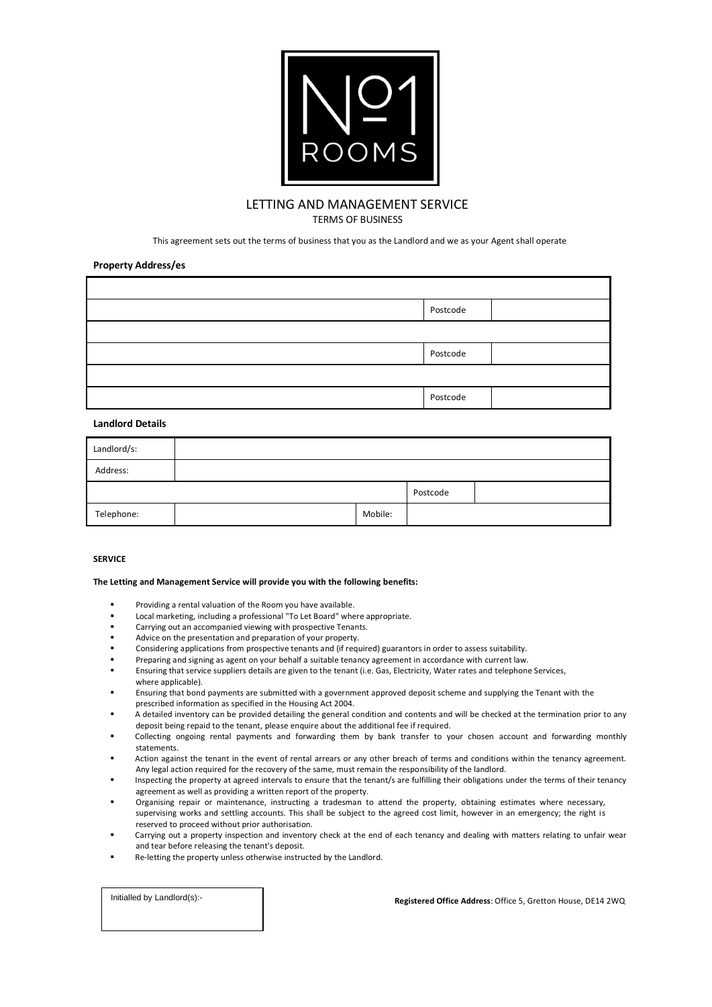

## LETTING AND MANAGEMENT SERVICE TERMS OF BUSINESS

This agreement sets out the terms of business that you as the Landlord and we as your Agent shall operate

### **Property Address/es**

| Postcode |  |
|----------|--|
|          |  |
| Postcode |  |
|          |  |
| Postcode |  |

### **Landlord Details**

| Landlord/s: |         |          |  |
|-------------|---------|----------|--|
| Address:    |         |          |  |
|             |         | Postcode |  |
| Telephone:  | Mobile: |          |  |

## **SERVICE**

### **The Letting and Management Service will provide you with the following benefits:**

- Providing a rental valuation of the Room you have available.
- Local marketing, including a professional "To Let Board" where appropriate.
- Carrying out an accompanied viewing with prospective Tenants.
- Advice on the presentation and preparation of your property.
- Considering applications from prospective tenants and (if required) guarantors in order to assess suitability.
- Preparing and signing as agent on your behalf a suitable tenancy agreement in accordance with current law.
- Ensuring that service suppliers details are given to the tenant (i.e. Gas, Electricity, Water rates and telephone Services, where applicable).
- Ensuring that bond payments are submitted with a government approved deposit scheme and supplying the Tenant with the prescribed information as specified in the Housing Act 2004.
- A detailed inventory can be provided detailing the general condition and contents and will be checked at the termination prior to any deposit being repaid to the tenant, please enquire about the additional fee if required.
- Collecting ongoing rental payments and forwarding them by bank transfer to your chosen account and forwarding monthly statements.
- Action against the tenant in the event of rental arrears or any other breach of terms and conditions within the tenancy agreement. Any legal action required for the recovery of the same, must remain the responsibility of the landlord.
- Inspecting the property at agreed intervals to ensure that the tenant/s are fulfilling their obligations under the terms of their tenancy agreement as well as providing a written report of the property.
- Organising repair or maintenance, instructing a tradesman to attend the property, obtaining estimates where necessary, supervising works and settling accounts. This shall be subject to the agreed cost limit, however in an emergency; the right is reserved to proceed without prior authorisation.
- Carrying out a property inspection and inventory check at the end of each tenancy and dealing with matters relating to unfair wear and tear before releasing the tenant's deposit.
- Re-letting the property unless otherwise instructed by the Landlord.

Initialled by Landlord(s):-

 **Registered Office Address**: Office 5, Gretton House, DE14 2WQ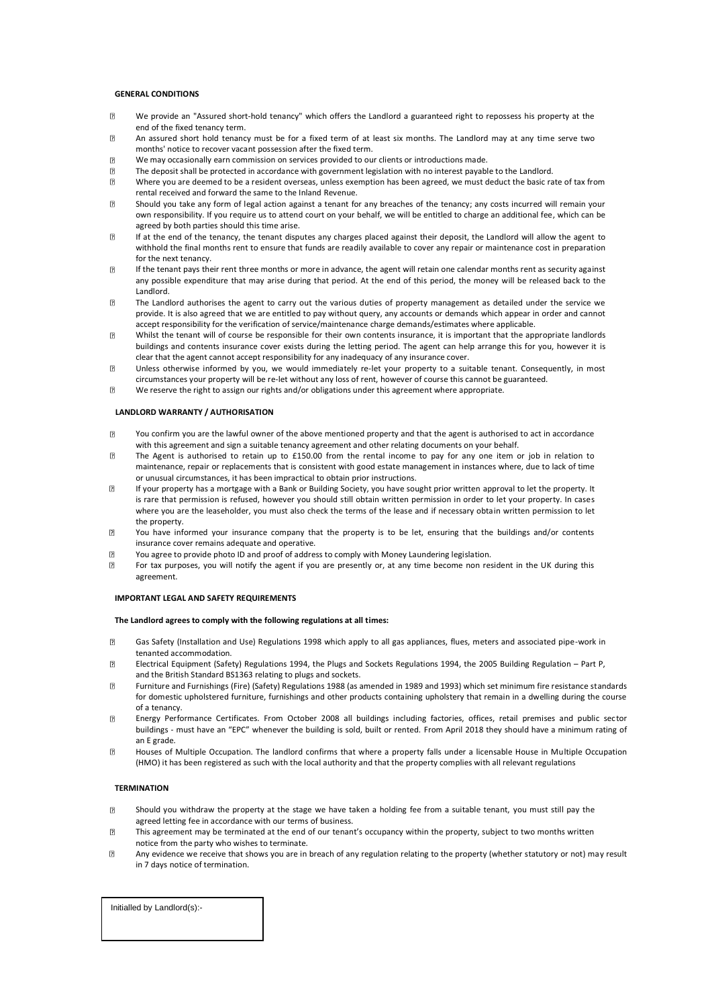### **GENERAL CONDITIONS**

- $\sqrt{2}$ We provide an "Assured short-hold tenancy" which offers the Landlord a guaranteed right to repossess his property at the end of the fixed tenancy term.
- $\overline{2}$ An assured short hold tenancy must be for a fixed term of at least six months. The Landlord may at any time serve two months' notice to recover vacant possession after the fixed term.
- $\overline{2}$ We may occasionally earn commission on services provided to our clients or introductions made.
- The deposit shall be protected in accordance with government legislation with no interest payable to the Landlord.
- $\overline{2}$ Where you are deemed to be a resident overseas, unless exemption has been agreed, we must deduct the basic rate of tax from rental received and forward the same to the Inland Revenue.
- $\overline{2}$ Should you take any form of legal action against a tenant for any breaches of the tenancy; any costs incurred will remain your own responsibility. If you require us to attend court on your behalf, we will be entitled to charge an additional fee, which can be agreed by both parties should this time arise.
- $\sqrt{2}$ If at the end of the tenancy, the tenant disputes any charges placed against their deposit, the Landlord will allow the agent to withhold the final months rent to ensure that funds are readily available to cover any repair or maintenance cost in preparation for the next tenancy.
- $\overline{?}$ If the tenant pays their rent three months or more in advance, the agent will retain one calendar months rent as security against any possible expenditure that may arise during that period. At the end of this period, the money will be released back to the Landlord.
- $\overline{2}$ The Landlord authorises the agent to carry out the various duties of property management as detailed under the service we provide. It is also agreed that we are entitled to pay without query, any accounts or demands which appear in order and cannot accept responsibility for the verification of service/maintenance charge demands/estimates where applicable.
- Whilst the tenant will of course be responsible for their own contents insurance, it is important that the appropriate landlords  $\overline{2}$ buildings and contents insurance cover exists during the letting period. The agent can help arrange this for you, however it is clear that the agent cannot accept responsibility for any inadequacy of any insurance cover.
- $\overline{2}$ Unless otherwise informed by you, we would immediately re-let your property to a suitable tenant. Consequently, in most circumstances your property will be re-let without any loss of rent, however of course this cannot be guaranteed.
- $\overline{p}$ We reserve the right to assign our rights and/or obligations under this agreement where appropriate.

### **LANDLORD WARRANTY / AUTHORISATION**

- $\overline{P}$ You confirm you are the lawful owner of the above mentioned property and that the agent is authorised to act in accordance with this agreement and sign a suitable tenancy agreement and other relating documents on your behalf.
- The Agent is authorised to retain up to £150.00 from the rental income to pay for any one item or job in relation to  $\sqrt{2}$ maintenance, repair or replacements that is consistent with good estate management in instances where, due to lack of time or unusual circumstances, it has been impractical to obtain prior instructions.
- $\overline{2}$ If your property has a mortgage with a Bank or Building Society, you have sought prior written approval to let the property. It is rare that permission is refused, however you should still obtain written permission in order to let your property. In cases where you are the leaseholder, you must also check the terms of the lease and if necessary obtain written permission to let the property.
- 冈 You have informed your insurance company that the property is to be let, ensuring that the buildings and/or contents insurance cover remains adequate and operative.
- $\overline{R}$ You agree to provide photo ID and proof of address to comply with Money Laundering legislation.
- For tax purposes, you will notify the agent if you are presently or, at any time become non resident in the UK during this  $\overline{2}$ agreement.

#### **IMPORTANT LEGAL AND SAFETY REQUIREMENTS**

### **The Landlord agrees to comply with the following regulations at all times:**

- Gas Safety (Installation and Use) Regulations 1998 which apply to all gas appliances, flues, meters and associated pipe-work in  $\overline{p}$ tenanted accommodation.
- Electrical Equipment (Safety) Regulations 1994, the Plugs and Sockets Regulations 1994, the 2005 Building Regulation Part P,  $\overline{2}$ and the British Standard BS1363 relating to plugs and sockets.
- Furniture and Furnishings (Fire) (Safety) Regulations 1988 (as amended in 1989 and 1993) which set minimum fire resistance standards  $\overline{2}$ for domestic upholstered furniture, furnishings and other products containing upholstery that remain in a dwelling during the course of a tenancy.
- $\overline{2}$ Energy Performance Certificates. From October 2008 all buildings including factories, offices, retail premises and public sec tor buildings - must have an "EPC" whenever the building is sold, built or rented. From April 2018 they should have a minimum rating of an E grade.
- $\overline{R}$ Houses of Multiple Occupation. The landlord confirms that where a property falls under a licensable House in Multiple Occupation (HMO) it has been registered as such with the local authority and that the property complies with all relevant regulations

#### **TERMINATION**

- $\overline{2}$ Should you withdraw the property at the stage we have taken a holding fee from a suitable tenant, you must still pay the agreed letting fee in accordance with our terms of business.
- This agreement may be terminated at the end of our tenant's occupancy within the property, subject to two months written  $\sqrt{2}$ notice from the party who wishes to terminate.
- Any evidence we receive that shows you are in breach of any regulation relating to the property (whether statutory or not) may result in 7 days notice of termination.

Initialled by Landlord(s):-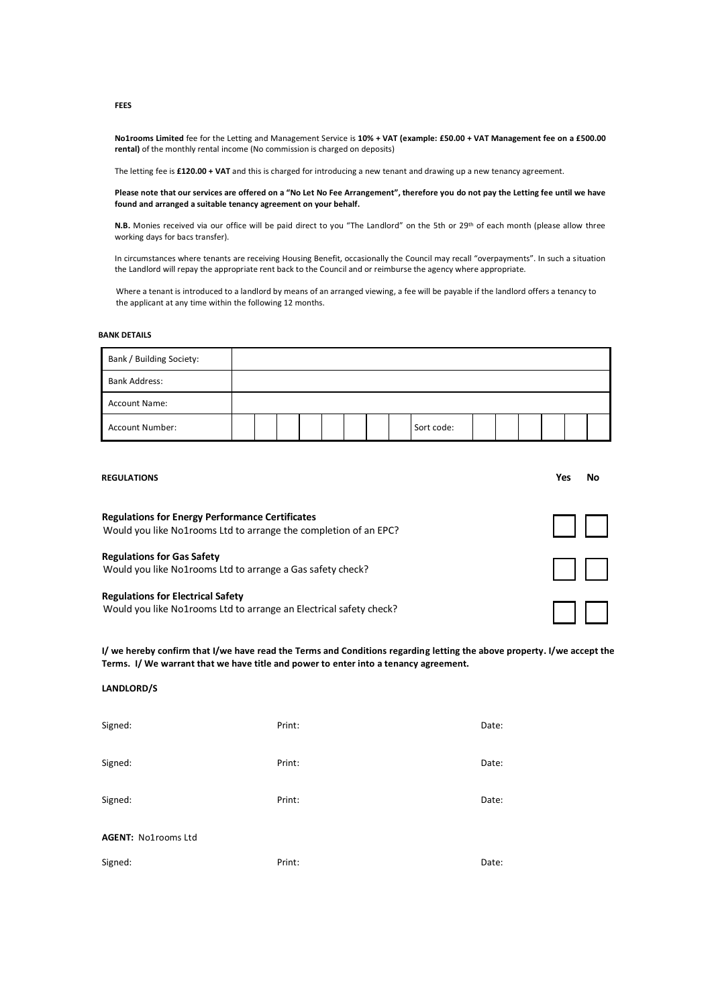**No1rooms Limited** fee for the Letting and Management Service is **10% + VAT (example: £50.00 + VAT Management fee on a £500.00 rental)** of the monthly rental income (No commission is charged on deposits)

The letting fee is **£120.00 + VAT** and this is charged for introducing a new tenant and drawing up a new tenancy agreement.

**Please note that our services are offered on a "No Let No Fee Arrangement", therefore you do not pay the Letting fee until we have found and arranged a suitable tenancy agreement on your behalf.**

**N.B.** Monies received via our office will be paid direct to you "The Landlord" on the 5th or 29<sup>th</sup> of each month (please allow three working days for bacs transfer).

In circumstances where tenants are receiving Housing Benefit, occasionally the Council may recall "overpayments". In such a situation the Landlord will repay the appropriate rent back to the Council and or reimburse the agency where appropriate.

 Where a tenant is introduced to a landlord by means of an arranged viewing, a fee will be payable if the landlord offers a tenancy to the applicant at any time within the following 12 months.

## **BANK DETAILS**

| Bank / Building Society: |  |  |  |  |            |  |  |  |
|--------------------------|--|--|--|--|------------|--|--|--|
| <b>Bank Address:</b>     |  |  |  |  |            |  |  |  |
| <b>Account Name:</b>     |  |  |  |  |            |  |  |  |
| <b>Account Number:</b>   |  |  |  |  | Sort code: |  |  |  |

| <b>REGULATIONS</b>                                                                                                         | Yes<br>No |
|----------------------------------------------------------------------------------------------------------------------------|-----------|
| <b>Regulations for Energy Performance Certificates</b><br>Would you like No1rooms Ltd to arrange the completion of an EPC? |           |
| <b>Regulations for Gas Safety</b><br>Would you like No1rooms Ltd to arrange a Gas safety check?                            |           |
| <b>Regulations for Electrical Safety</b><br>Would you like No1rooms Ltd to arrange an Electrical safety check?             |           |

**I/ we hereby confirm that I/we have read the Terms and Conditions regarding letting the above property. I/we accept the Terms. I/ We warrant that we have title and power to enter into a tenancy agreement.**

## **LANDLORD/S**

| Signed:             | Print: | Date: |
|---------------------|--------|-------|
| Signed:             | Print: | Date: |
| Signed:             | Print: | Date: |
| AGENT: No1rooms Ltd |        |       |
| Signed:             | Print: | Date: |

**FEES**